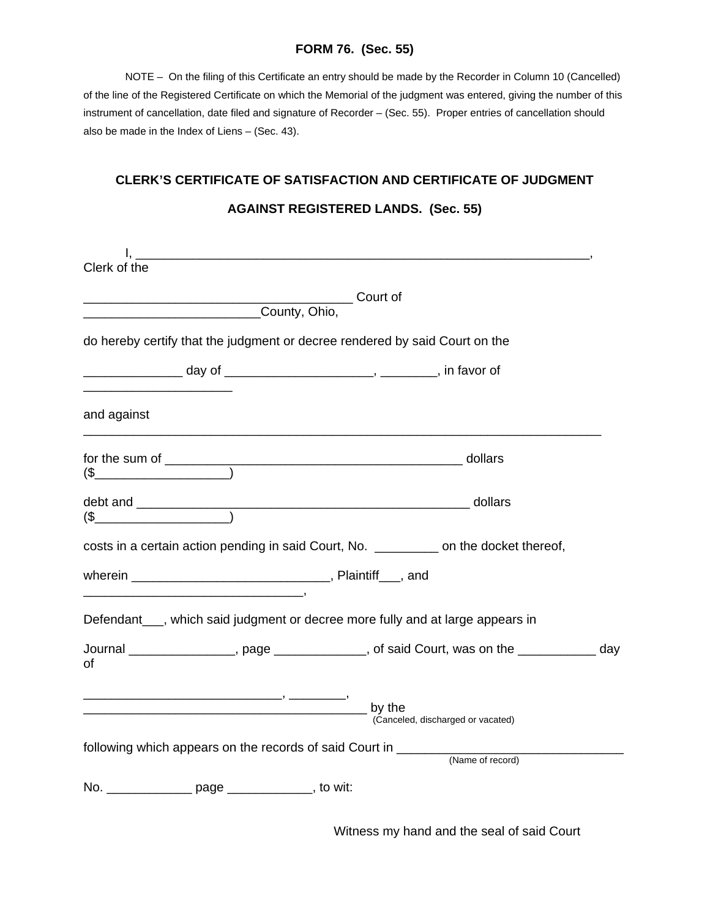## **FORM 76. (Sec. 55)**

 NOTE – On the filing of this Certificate an entry should be made by the Recorder in Column 10 (Cancelled) of the line of the Registered Certificate on which the Memorial of the judgment was entered, giving the number of this instrument of cancellation, date filed and signature of Recorder – (Sec. 55). Proper entries of cancellation should also be made in the Index of Liens – (Sec. 43).

## **CLERK'S CERTIFICATE OF SATISFACTION AND CERTIFICATE OF JUDGMENT**

|                                                                                       | <u> 1989 - Johann Harry Harry Harry Harry Harry Harry Harry Harry Harry Harry Harry Harry Harry Harry Harry Harry</u> |          |                                                                                             |  |
|---------------------------------------------------------------------------------------|-----------------------------------------------------------------------------------------------------------------------|----------|---------------------------------------------------------------------------------------------|--|
| Clerk of the                                                                          |                                                                                                                       |          |                                                                                             |  |
| <u>________________________________County, Ohio,</u>                                  |                                                                                                                       | Court of |                                                                                             |  |
| do hereby certify that the judgment or decree rendered by said Court on the           |                                                                                                                       |          |                                                                                             |  |
| _______________ day of _______________________, ________, in favor of                 |                                                                                                                       |          |                                                                                             |  |
| and against                                                                           |                                                                                                                       |          |                                                                                             |  |
| for the sum of $\_\_\_\_$ dollars                                                     |                                                                                                                       |          |                                                                                             |  |
|                                                                                       |                                                                                                                       |          |                                                                                             |  |
| costs in a certain action pending in said Court, No. _________ on the docket thereof, |                                                                                                                       |          |                                                                                             |  |
|                                                                                       |                                                                                                                       |          |                                                                                             |  |
| Defendant___, which said judgment or decree more fully and at large appears in        |                                                                                                                       |          |                                                                                             |  |
| of                                                                                    |                                                                                                                       |          | Journal __________________, page ______________, of said Court, was on the ____________ day |  |
| <u>by the</u> by the                                                                  |                                                                                                                       |          | (Canceled, discharged or vacated)                                                           |  |
| following which appears on the records of said Court in _______                       |                                                                                                                       |          | (Name of record)                                                                            |  |
| No. _________________ page _________________, to wit:                                 |                                                                                                                       |          |                                                                                             |  |

## **AGAINST REGISTERED LANDS. (Sec. 55)**

Witness my hand and the seal of said Court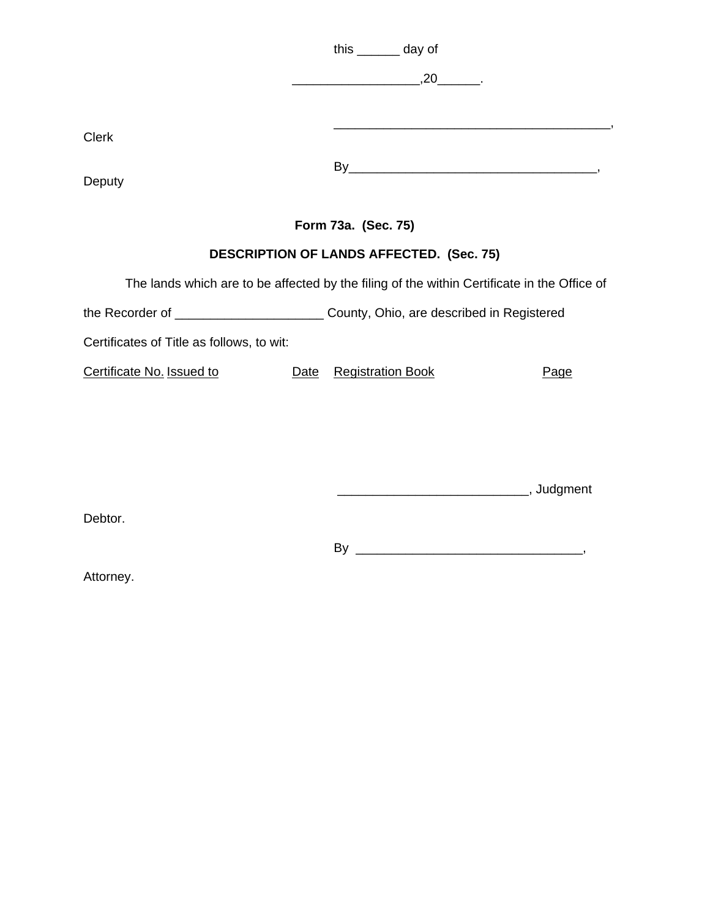|                                                                                         |      | this _______ day of<br>$\overbrace{\hspace{2.5cm}}^{20}$ .                                  |      |
|-----------------------------------------------------------------------------------------|------|---------------------------------------------------------------------------------------------|------|
| <b>Clerk</b>                                                                            |      | <u> 1989 - Johann Barbara, margaret eta idazlea (h. 1989).</u>                              |      |
| Deputy                                                                                  |      |                                                                                             |      |
|                                                                                         |      | Form 73a. (Sec. 75)                                                                         |      |
|                                                                                         |      | <b>DESCRIPTION OF LANDS AFFECTED. (Sec. 75)</b>                                             |      |
|                                                                                         |      | The lands which are to be affected by the filing of the within Certificate in the Office of |      |
| the Recorder of ______________________________County, Ohio, are described in Registered |      |                                                                                             |      |
| Certificates of Title as follows, to wit:                                               |      |                                                                                             |      |
| Certificate No. Issued to                                                               | Date | <b>Registration Book</b>                                                                    | Page |
| Debtor.                                                                                 |      |                                                                                             |      |
|                                                                                         |      |                                                                                             |      |

Attorney.